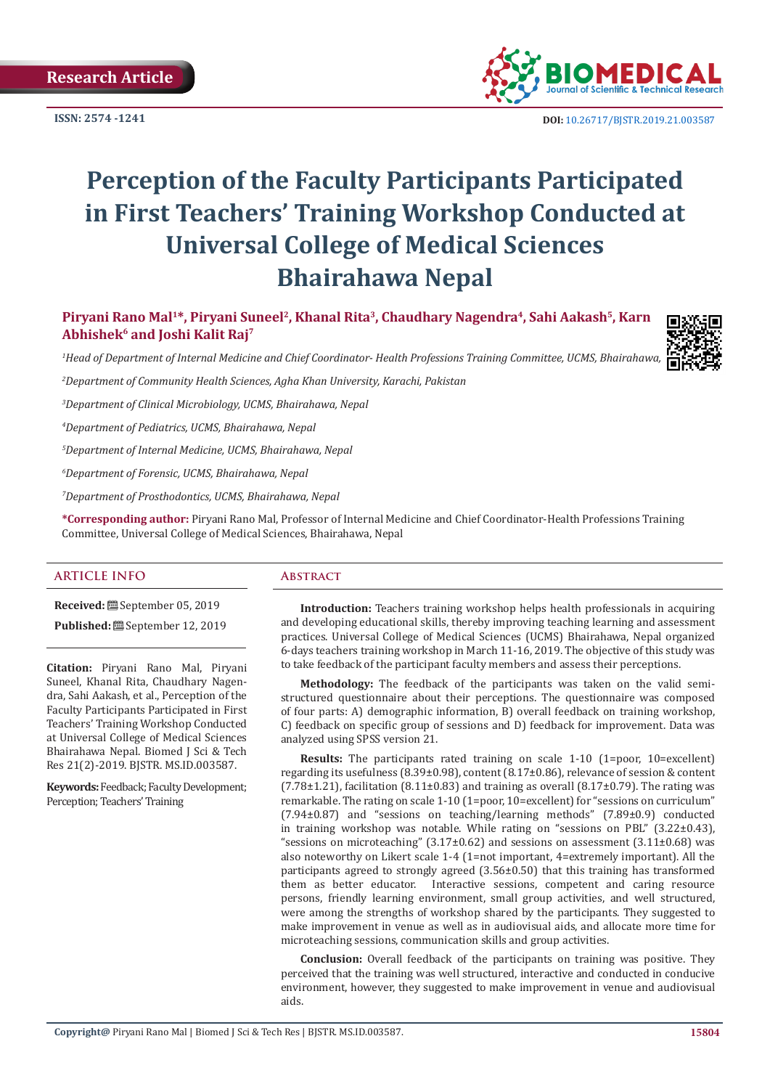**ISSN: 2574 -1241**



 **DOI:** [10.26717/BJSTR.2019.21.003587](http://dx.doi.org/10.26717/BJSTR.2019.21.003587)

# **Perception of the Faculty Participants Participated in First Teachers' Training Workshop Conducted at Universal College of Medical Sciences Bhairahawa Nepal**

Piryani Rano Mal<sup>1\*</sup>, Piryani Suneel<sup>2</sup>, Khanal Rita<sup>3</sup>, Chaudhary Nagendra<sup>4</sup>, Sahi Aakash<sup>5</sup>, Karn **Abhishek6 and Joshi Kalit Raj7**



<sup>1</sup>Head of Department of Internal Medicine and Chief Coordinator- Health Professions Training Committee, UCMS, Bhairahawa, **Nepa** 

*2 Department of Community Health Sciences, Agha Khan University, Karachi, Pakistan*

*3 Department of Clinical Microbiology, UCMS, Bhairahawa, Nepal*

*4 Department of Pediatrics, UCMS, Bhairahawa, Nepal* 

*5 Department of Internal Medicine, UCMS, Bhairahawa, Nepal* 

*6 Department of Forensic, UCMS, Bhairahawa, Nepal*

*7 Department of Prosthodontics, UCMS, Bhairahawa, Nepal*

**\*Corresponding author:** Piryani Rano Mal, Professor of Internal Medicine and Chief Coordinator-Health Professions Training Committee, Universal College of Medical Sciences, Bhairahawa, Nepal

#### **ARTICLE INFO Abstract**

**Received:** September 05, 2019

**Published:** September 12, 2019

**Citation:** Piryani Rano Mal, Piryani Suneel, Khanal Rita, Chaudhary Nagendra, Sahi Aakash, et al., Perception of the Faculty Participants Participated in First Teachers' Training Workshop Conducted at Universal College of Medical Sciences Bhairahawa Nepal. Biomed J Sci & Tech Res 21(2)-2019. BJSTR. MS.ID.003587.

**Keywords:** Feedback; Faculty Development; Perception; Teachers' Training

**Introduction:** Teachers training workshop helps health professionals in acquiring and developing educational skills, thereby improving teaching learning and assessment practices. Universal College of Medical Sciences (UCMS) Bhairahawa, Nepal organized 6-days teachers training workshop in March 11-16, 2019. The objective of this study was to take feedback of the participant faculty members and assess their perceptions.

**Methodology:** The feedback of the participants was taken on the valid semistructured questionnaire about their perceptions. The questionnaire was composed of four parts: A) demographic information, B) overall feedback on training workshop, C) feedback on specific group of sessions and D) feedback for improvement. Data was analyzed using SPSS version 21.

**Results:** The participants rated training on scale 1-10 (1=poor, 10=excellent) regarding its usefulness (8.39±0.98), content (8.17±0.86), relevance of session & content  $(7.78\pm1.21)$ , facilitation  $(8.11\pm0.83)$  and training as overall  $(8.17\pm0.79)$ . The rating was remarkable. The rating on scale 1-10 (1=poor, 10=excellent) for "sessions on curriculum" (7.94±0.87) and "sessions on teaching/learning methods" (7.89±0.9) conducted in training workshop was notable. While rating on "sessions on PBL"  $(3.22\pm0.43)$ , "sessions on microteaching"  $(3.17\pm0.62)$  and sessions on assessment  $(3.11\pm0.68)$  was also noteworthy on Likert scale 1-4 (1=not important, 4=extremely important). All the participants agreed to strongly agreed (3.56±0.50) that this training has transformed them as better educator. Interactive sessions, competent and caring resource persons, friendly learning environment, small group activities, and well structured, were among the strengths of workshop shared by the participants. They suggested to make improvement in venue as well as in audiovisual aids, and allocate more time for microteaching sessions, communication skills and group activities.

**Conclusion:** Overall feedback of the participants on training was positive. They perceived that the training was well structured, interactive and conducted in conducive environment, however, they suggested to make improvement in venue and audiovisual aids.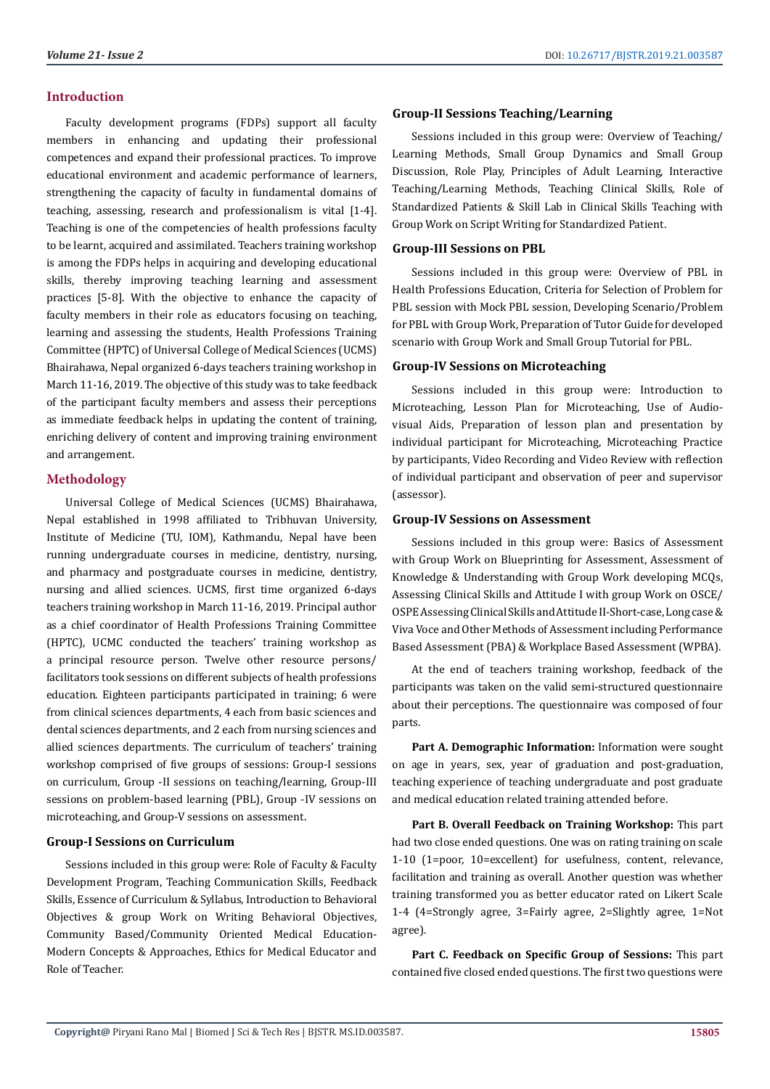# **Introduction**

Faculty development programs (FDPs) support all faculty members in enhancing and updating their professional competences and expand their professional practices. To improve educational environment and academic performance of learners, strengthening the capacity of faculty in fundamental domains of teaching, assessing, research and professionalism is vital [1-4]. Teaching is one of the competencies of health professions faculty to be learnt, acquired and assimilated. Teachers training workshop is among the FDPs helps in acquiring and developing educational skills, thereby improving teaching learning and assessment practices [5-8]. With the objective to enhance the capacity of faculty members in their role as educators focusing on teaching, learning and assessing the students, Health Professions Training Committee (HPTC) of Universal College of Medical Sciences (UCMS) Bhairahawa, Nepal organized 6-days teachers training workshop in March 11-16, 2019. The objective of this study was to take feedback of the participant faculty members and assess their perceptions as immediate feedback helps in updating the content of training, enriching delivery of content and improving training environment and arrangement.

# **Methodology**

Universal College of Medical Sciences (UCMS) Bhairahawa, Nepal established in 1998 affiliated to Tribhuvan University, Institute of Medicine (TU, IOM), Kathmandu, Nepal have been running undergraduate courses in medicine, dentistry, nursing, and pharmacy and postgraduate courses in medicine, dentistry, nursing and allied sciences. UCMS, first time organized 6-days teachers training workshop in March 11-16, 2019. Principal author as a chief coordinator of Health Professions Training Committee (HPTC), UCMC conducted the teachers' training workshop as a principal resource person. Twelve other resource persons/ facilitators took sessions on different subjects of health professions education. Eighteen participants participated in training; 6 were from clinical sciences departments, 4 each from basic sciences and dental sciences departments, and 2 each from nursing sciences and allied sciences departments. The curriculum of teachers' training workshop comprised of five groups of sessions: Group-I sessions on curriculum, Group -II sessions on teaching/learning, Group-III sessions on problem-based learning (PBL), Group -IV sessions on microteaching, and Group-V sessions on assessment.

#### **Group-I Sessions on Curriculum**

Sessions included in this group were: Role of Faculty & Faculty Development Program, Teaching Communication Skills, Feedback Skills, Essence of Curriculum & Syllabus, Introduction to Behavioral Objectives & group Work on Writing Behavioral Objectives, Community Based/Community Oriented Medical Education-Modern Concepts & Approaches, Ethics for Medical Educator and Role of Teacher.

#### **Group-II Sessions Teaching/Learning**

Sessions included in this group were: Overview of Teaching/ Learning Methods, Small Group Dynamics and Small Group Discussion, Role Play, Principles of Adult Learning, Interactive Teaching/Learning Methods, Teaching Clinical Skills, Role of Standardized Patients & Skill Lab in Clinical Skills Teaching with Group Work on Script Writing for Standardized Patient.

#### **Group-III Sessions on PBL**

Sessions included in this group were: Overview of PBL in Health Professions Education, Criteria for Selection of Problem for PBL session with Mock PBL session, Developing Scenario/Problem for PBL with Group Work, Preparation of Tutor Guide for developed scenario with Group Work and Small Group Tutorial for PBL.

#### **Group-IV Sessions on Microteaching**

Sessions included in this group were: Introduction to Microteaching, Lesson Plan for Microteaching, Use of Audiovisual Aids, Preparation of lesson plan and presentation by individual participant for Microteaching, Microteaching Practice by participants, Video Recording and Video Review with reflection of individual participant and observation of peer and supervisor (assessor).

#### **Group-IV Sessions on Assessment**

Sessions included in this group were: Basics of Assessment with Group Work on Blueprinting for Assessment, Assessment of Knowledge & Understanding with Group Work developing MCQs, Assessing Clinical Skills and Attitude I with group Work on OSCE/ OSPE Assessing Clinical Skills and Attitude II-Short-case, Long case & Viva Voce and Other Methods of Assessment including Performance Based Assessment (PBA) & Workplace Based Assessment (WPBA).

At the end of teachers training workshop, feedback of the participants was taken on the valid semi-structured questionnaire about their perceptions. The questionnaire was composed of four parts.

**Part A. Demographic Information:** Information were sought on age in years, sex, year of graduation and post-graduation, teaching experience of teaching undergraduate and post graduate and medical education related training attended before.

**Part B. Overall Feedback on Training Workshop:** This part had two close ended questions. One was on rating training on scale 1-10 (1=poor, 10=excellent) for usefulness, content, relevance, facilitation and training as overall. Another question was whether training transformed you as better educator rated on Likert Scale 1-4 (4=Strongly agree, 3=Fairly agree, 2=Slightly agree, 1=Not agree).

**Part C. Feedback on Specific Group of Sessions:** This part contained five closed ended questions. The first two questions were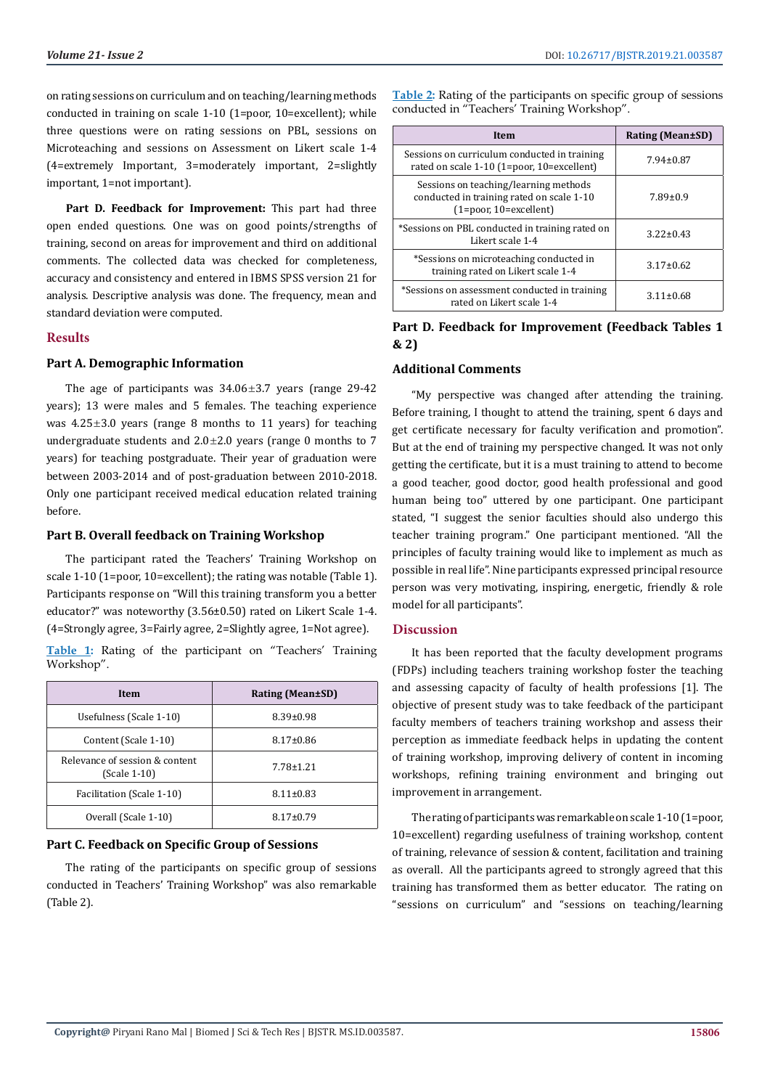on rating sessions on curriculum and on teaching/learning methods conducted in training on scale 1-10 (1=poor, 10=excellent); while three questions were on rating sessions on PBL, sessions on Microteaching and sessions on Assessment on Likert scale 1-4 (4=extremely Important, 3=moderately important, 2=slightly important, 1=not important).

**Part D. Feedback for Improvement:** This part had three open ended questions. One was on good points/strengths of training, second on areas for improvement and third on additional comments. The collected data was checked for completeness, accuracy and consistency and entered in IBMS SPSS version 21 for analysis. Descriptive analysis was done. The frequency, mean and standard deviation were computed.

# **Results**

# **Part A. Demographic Information**

The age of participants was  $34.06\pm3.7$  years (range 29-42 years); 13 were males and 5 females. The teaching experience was  $4.25 \pm 3.0$  years (range 8 months to 11 years) for teaching undergraduate students and  $2.0 \pm 2.0$  years (range 0 months to 7 years) for teaching postgraduate. Their year of graduation were between 2003-2014 and of post-graduation between 2010-2018. Only one participant received medical education related training before.

#### **Part B. Overall feedback on Training Workshop**

The participant rated the Teachers' Training Workshop on scale 1-10 (1=poor, 10=excellent); the rating was notable (Table 1). Participants response on "Will this training transform you a better educator?" was noteworthy (3.56±0.50) rated on Likert Scale 1-4. (4=Strongly agree, 3=Fairly agree, 2=Slightly agree, 1=Not agree).

**Table 1:** Rating of the participant on "Teachers' Training Workshop".

| <b>Item</b>                                      | <b>Rating (Mean±SD)</b> |
|--------------------------------------------------|-------------------------|
| Usefulness (Scale 1-10)                          | $8.39 \pm 0.98$         |
| Content (Scale 1-10)                             | $8.17 \pm 0.86$         |
| Relevance of session & content<br>$(Scale 1-10)$ | $7.78 \pm 1.21$         |
| Facilitation (Scale 1-10)                        | $8.11 \pm 0.83$         |
| Overall (Scale 1-10)                             | $8.17 \pm 0.79$         |

### **Part C. Feedback on Specific Group of Sessions**

The rating of the participants on specific group of sessions conducted in Teachers' Training Workshop" was also remarkable (Table 2).

**Table 2:** Rating of the participants on specific group of sessions conducted in "Teachers' Training Workshop".

| <b>Item</b>                                                                                                        | Rating (Mean±SD) |
|--------------------------------------------------------------------------------------------------------------------|------------------|
| Sessions on curriculum conducted in training<br>rated on scale 1-10 (1=poor, 10=excellent)                         | $7.94 \pm 0.87$  |
| Sessions on teaching/learning methods<br>conducted in training rated on scale 1-10<br>$(1 = poor, 10 = excellent)$ | $7.89 \pm 0.9$   |
| *Sessions on PBL conducted in training rated on<br>Likert scale 1-4                                                | $3.22 \pm 0.43$  |
| *Sessions on microteaching conducted in<br>training rated on Likert scale 1-4                                      | $3.17 \pm 0.62$  |
| *Sessions on assessment conducted in training<br>rated on Likert scale 1-4                                         | $3.11 \pm 0.68$  |

# **Part D. Feedback for Improvement (Feedback Tables 1 & 2)**

#### **Additional Comments**

"My perspective was changed after attending the training. Before training, I thought to attend the training, spent 6 days and get certificate necessary for faculty verification and promotion". But at the end of training my perspective changed. It was not only getting the certificate, but it is a must training to attend to become a good teacher, good doctor, good health professional and good human being too" uttered by one participant. One participant stated, "I suggest the senior faculties should also undergo this teacher training program." One participant mentioned. "All the principles of faculty training would like to implement as much as possible in real life". Nine participants expressed principal resource person was very motivating, inspiring, energetic, friendly & role model for all participants".

### **Discussion**

It has been reported that the faculty development programs (FDPs) including teachers training workshop foster the teaching and assessing capacity of faculty of health professions [1]. The objective of present study was to take feedback of the participant faculty members of teachers training workshop and assess their perception as immediate feedback helps in updating the content of training workshop, improving delivery of content in incoming workshops, refining training environment and bringing out improvement in arrangement.

The rating of participants was remarkable on scale 1-10 (1=poor, 10=excellent) regarding usefulness of training workshop, content of training, relevance of session & content, facilitation and training as overall. All the participants agreed to strongly agreed that this training has transformed them as better educator. The rating on "sessions on curriculum" and "sessions on teaching/learning